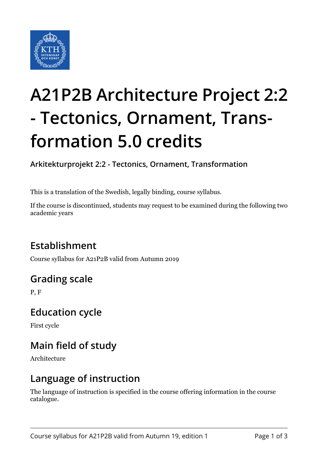

# **A21P2B Architecture Project 2:2 - Tectonics, Ornament, Transformation 5.0 credits**

**Arkitekturprojekt 2:2 - Tectonics, Ornament, Transformation**

This is a translation of the Swedish, legally binding, course syllabus.

If the course is discontinued, students may request to be examined during the following two academic years

# **Establishment**

Course syllabus for A21P2B valid from Autumn 2019

# **Grading scale**

P, F

### **Education cycle**

First cycle

# **Main field of study**

Architecture

### **Language of instruction**

The language of instruction is specified in the course offering information in the course catalogue.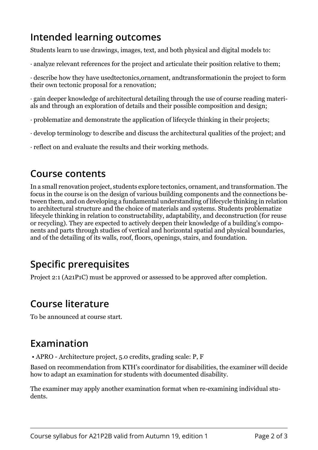# **Intended learning outcomes**

Students learn to use drawings, images, text, and both physical and digital models to:

· analyze relevant references for the project and articulate their position relative to them;

 $\cdot$  describe how they have usedtectonics,ornament, andtransformationin the project to form their own tectonic proposal for a renovation;

 $\cdot$  gain deeper knowledge of architectural detailing through the use of course reading materials and through an exploration of details and their possible composition and design;

- $\cdot$  problematize and demonstrate the application of lifecycle thinking in their projects;
- $\cdot$  develop terminology to describe and discuss the architectural qualities of the project: and

• reflect on and evaluate the results and their working methods.

#### **Course contents**

In a small renovation project, students explore tectonics, ornament, and transformation. The focus in the course is on the design of various building components and the connections between them, and on developing a fundamental understanding of lifecycle thinking in relation to architectural structure and the choice of materials and systems. Students problematize lifecycle thinking in relation to constructability, adaptability, and deconstruction (for reuse or recycling). They are expected to actively deepen their knowledge of a building's components and parts through studies of vertical and horizontal spatial and physical boundaries, and of the detailing of its walls, roof, floors, openings, stairs, and foundation.

# **Specific prerequisites**

Project 2:1 (A21P1C) must be approved or assessed to be approved after completion.

# **Course literature**

To be announced at course start.

### **Examination**

• APRO - Architecture project, 5.0 credits, grading scale: P, F

Based on recommendation from KTH's coordinator for disabilities, the examiner will decide how to adapt an examination for students with documented disability.

The examiner may apply another examination format when re-examining individual students.